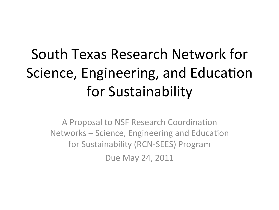# South Texas Research Network for Science, Engineering, and Education for Sustainability

A Proposal to NSF Research Coordination Networks – Science, Engineering and Education for Sustainability (RCN-SEES) Program Due May 24, 2011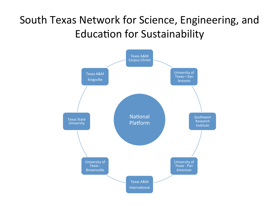## South Texas Network for Science, Engineering, and **Education for Sustainability**

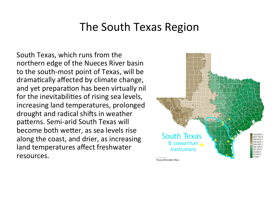South Texas, which runs from the northern edge of the Nueces River basin to the south-most point of Texas, will be dramatically affected by climate change, and yet preparation has been virtually nil for the inevitabilities of rising sea levels, increasing land temperatures, prolonged drought and radical shifts in weather patterns. Semi-arid South Texas will become both wetter, as sea levels rise along the coast, and drier, as increasing land temperatures affect freshwater resources.

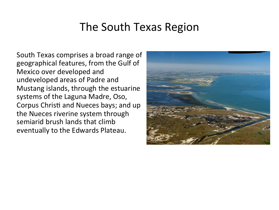South Texas comprises a broad range of geographical features, from the Gulf of Mexico over developed and undeveloped areas of Padre and Mustang islands, through the estuarine systems of the Laguna Madre, Oso, Corpus Christi and Nueces bays; and up the Nueces riverine system through semiarid brush lands that climb eventually to the Edwards Plateau.

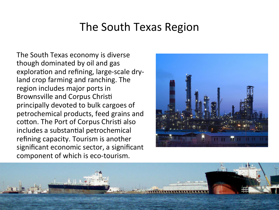The South Texas economy is diverse though dominated by oil and gas exploration and refining, large-scale dryland crop farming and ranching. The region includes major ports in Brownsville and Corpus Christi principally devoted to bulk cargoes of petrochemical products, feed grains and cotton. The Port of Corpus Christi also includes a substantial petrochemical refining capacity. Tourism is another significant economic sector, a significant component of which is eco-tourism.



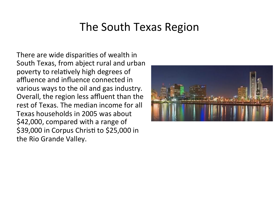There are wide disparities of wealth in South Texas, from abject rural and urban poverty to relatively high degrees of affluence and influence connected in various ways to the oil and gas industry. Overall, the region less affluent than the rest of Texas. The median income for all Texas households in 2005 was about \$42,000, compared with a range of \$39,000 in Corpus Christi to \$25,000 in the Rio Grande Valley.

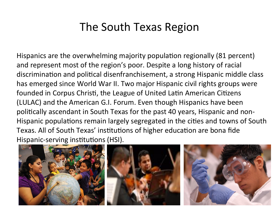Hispanics are the overwhelming majority population regionally (81 percent) and represent most of the region's poor. Despite a long history of racial discrimination and political disenfranchisement, a strong Hispanic middle class has emerged since World War II. Two major Hispanic civil rights groups were founded in Corpus Christi, the League of United Latin American Citizens (LULAC) and the American G.I. Forum. Even though Hispanics have been politically ascendant in South Texas for the past 40 years, Hispanic and non-Hispanic populations remain largely segregated in the cities and towns of South Texas. All of South Texas' institutions of higher education are bona fide Hispanic-serving institutions (HSI).

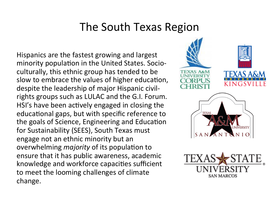Hispanics are the fastest growing and largest minority population in the United States. Socioculturally, this ethnic group has tended to be slow to embrace the values of higher education, despite the leadership of major Hispanic civilrights groups such as LULAC and the G.I. Forum. HSI's have been actively engaged in closing the educational gaps, but with specific reference to the goals of Science, Engineering and Education for Sustainability (SEES), South Texas must engage not an ethnic minority but an overwhelming *majority* of its population to ensure that it has public awareness, academic knowledge and workforce capacities sufficient to meet the looming challenges of climate change.



SAN MARCOS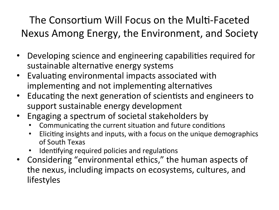The Consortium Will Focus on the Multi-Faceted Nexus Among Energy, the Environment, and Society

- Developing science and engineering capabilities required for  $\bullet$ sustainable alternative energy systems
- Evaluating environmental impacts associated with implementing and not implementing alternatives
- Educating the next generation of scientists and engineers to support sustainable energy development
- Engaging a spectrum of societal stakeholders by
	- Communicating the current situation and future conditions
	- Eliciting insights and inputs, with a focus on the unique demographics of South Texas
	- Identifying required policies and regulations
- Considering "environmental ethics," the human aspects of the nexus, including impacts on ecosystems, cultures, and lifestyles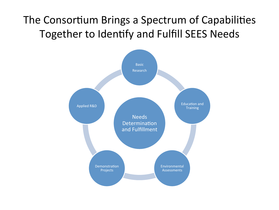### The Consortium Brings a Spectrum of Capabilities Together to Identify and Fulfill SEES Needs

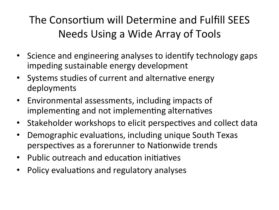# The Consortium will Determine and Fulfill SEES Needs Using a Wide Array of Tools

- Science and engineering analyses to identify technology gaps impeding sustainable energy development
- Systems studies of current and alternative energy deployments
- Environmental assessments, including impacts of implementing and not implementing alternatives
- Stakeholder workshops to elicit perspectives and collect data
- Demographic evaluations, including unique South Texas  $\bullet$ perspectives as a forerunner to Nationwide trends
- Public outreach and education initiatives
- Policy evaluations and regulatory analyses  $\bullet$